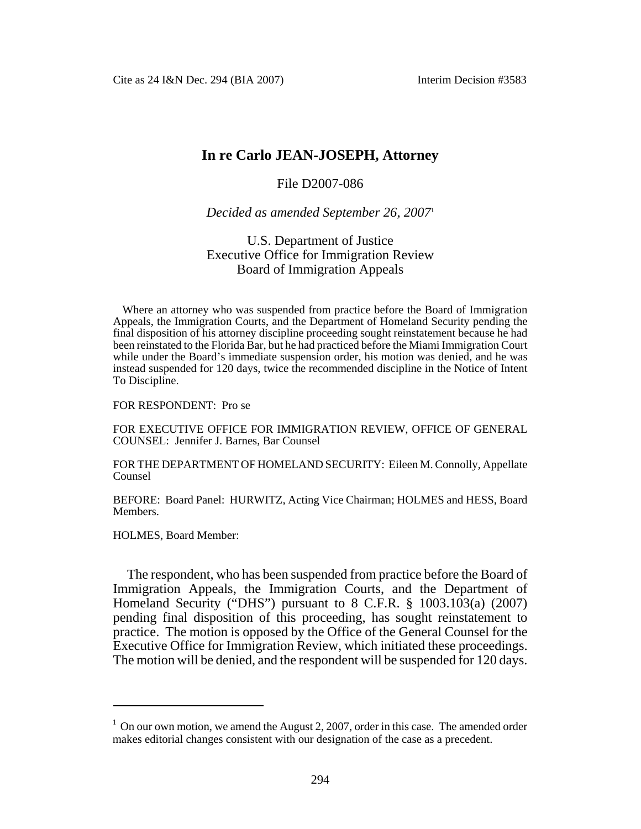Cite as 24 I&N Dec. 294 (BIA 2007) Interim Decision #3583

# **In re Carlo JEAN-JOSEPH, Attorney**

### File D2007-086

#### *Decided as amended September 26, 2007*<sup>1</sup>

## U.S. Department of Justice Executive Office for Immigration Review Board of Immigration Appeals

Where an attorney who was suspended from practice before the Board of Immigration Appeals, the Immigration Courts, and the Department of Homeland Security pending the final disposition of his attorney discipline proceeding sought reinstatement because he had been reinstated to the Florida Bar, but he had practiced before the Miami Immigration Court while under the Board's immediate suspension order, his motion was denied, and he was instead suspended for 120 days, twice the recommended discipline in the Notice of Intent To Discipline.

#### FOR RESPONDENT: Pro se

FOR EXECUTIVE OFFICE FOR IMMIGRATION REVIEW, OFFICE OF GENERAL COUNSEL: Jennifer J. Barnes, Bar Counsel

FOR THE DEPARTMENT OF HOMELAND SECURITY: Eileen M. Connolly, Appellate Counsel

BEFORE: Board Panel: HURWITZ, Acting Vice Chairman; HOLMES and HESS, Board Members.

HOLMES, Board Member:

The respondent, who has been suspended from practice before the Board of Immigration Appeals, the Immigration Courts, and the Department of Homeland Security ("DHS") pursuant to 8 C.F.R. § 1003.103(a) (2007) pending final disposition of this proceeding, has sought reinstatement to practice. The motion is opposed by the Office of the General Counsel for the Executive Office for Immigration Review, which initiated these proceedings. The motion will be denied, and the respondent will be suspended for 120 days.

 $1$  On our own motion, we amend the August 2, 2007, order in this case. The amended order makes editorial changes consistent with our designation of the case as a precedent.